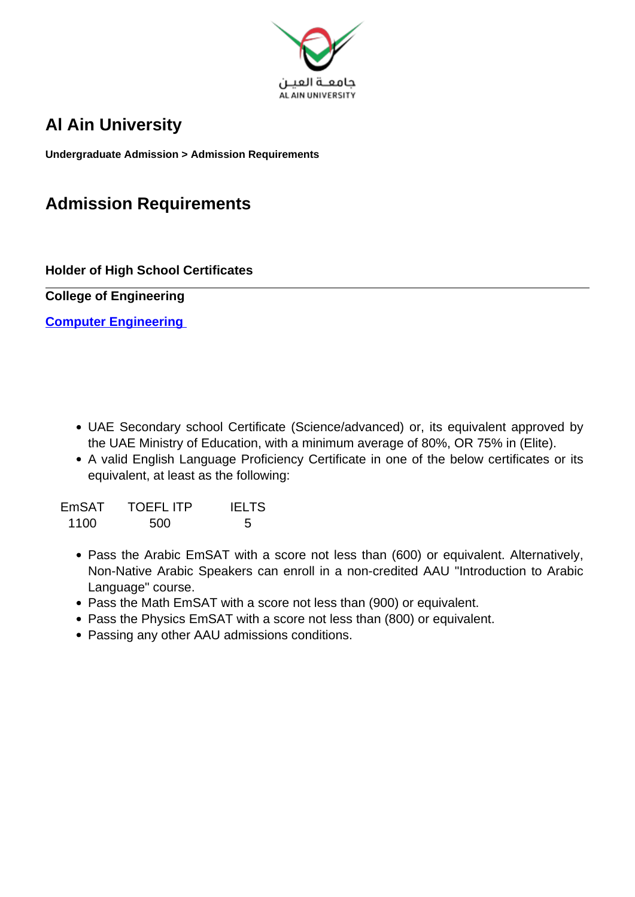

# **Al Ain University**

**Undergraduate Admission > Admission Requirements**

# **Admission Requirements**

**Holder of High School Certificates**

**College of Engineering**

**Computer Engineering** 

- UAE Secondary school Certificate (Science/advanced) or, its equivalent approved by the UAE Ministry of Education, with a minimum average of 80%, OR 75% in (Elite).
- A valid English Language Proficiency Certificate in one of the below certificates or its equivalent, at least as the following:

| EmSAT | <b>TOEFLITP</b> | <b>IELTS</b> |
|-------|-----------------|--------------|
| 1100  | 500             | -5           |

- Pass the Arabic EmSAT with a score not less than (600) or equivalent. Alternatively, Non-Native Arabic Speakers can enroll in a non-credited AAU "Introduction to Arabic Language" course.
- Pass the Math EmSAT with a score not less than (900) or equivalent.
- Pass the Physics EmSAT with a score not less than (800) or equivalent.
- Passing any other AAU admissions conditions.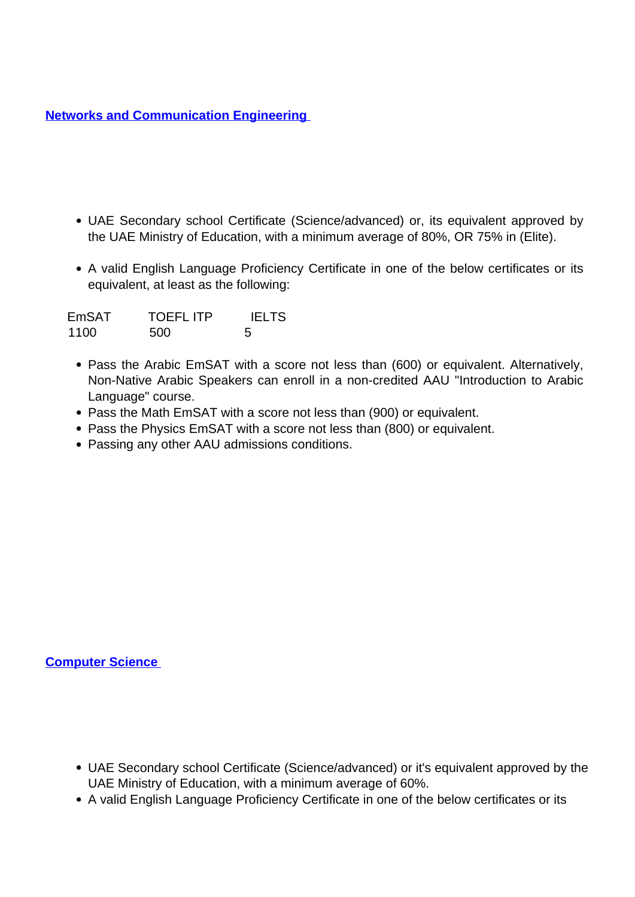**Networks and Communication Engineering** 

- UAE Secondary school Certificate (Science/advanced) or, its equivalent approved by the UAE Ministry of Education, with a minimum average of 80%, OR 75% in (Elite).
- A valid English Language Proficiency Certificate in one of the below certificates or its equivalent, at least as the following:

| <b>EmSAT</b> | <b>TOEFLITP</b> | <b>IELTS</b> |
|--------------|-----------------|--------------|
| 1100         | 500             | .5           |

- Pass the Arabic EmSAT with a score not less than (600) or equivalent. Alternatively, Non-Native Arabic Speakers can enroll in a non-credited AAU "Introduction to Arabic Language" course.
- Pass the Math EmSAT with a score not less than (900) or equivalent.
- Pass the Physics EmSAT with a score not less than (800) or equivalent.
- Passing any other AAU admissions conditions.

### **Computer Science**

- UAE Secondary school Certificate (Science/advanced) or it's equivalent approved by the UAE Ministry of Education, with a minimum average of 60%.
- A valid English Language Proficiency Certificate in one of the below certificates or its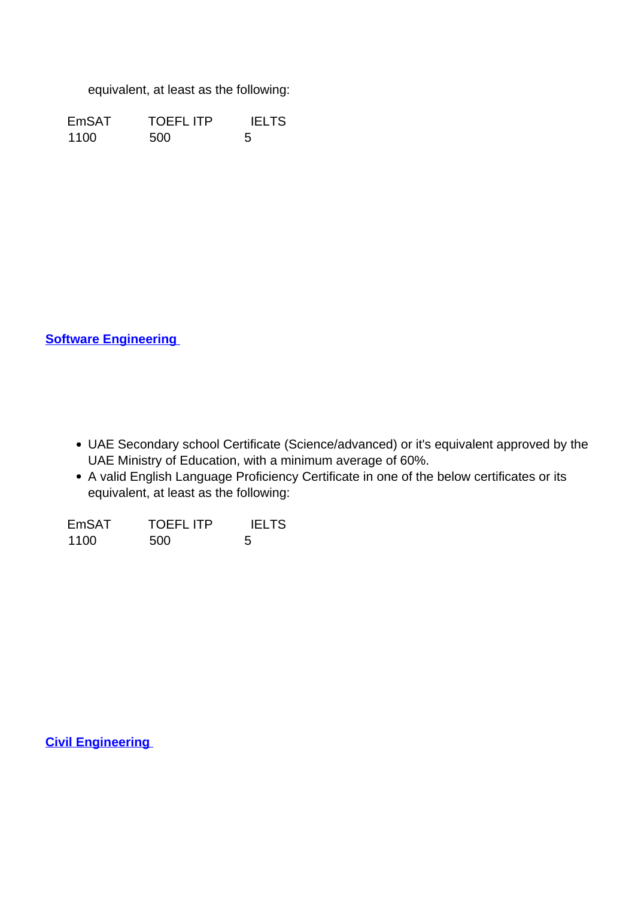equivalent, at least as the following:

EmSAT TOEFL ITP IELTS 1100 500 5

**Software Engineering** 

- UAE Secondary school Certificate (Science/advanced) or it's equivalent approved by the UAE Ministry of Education, with a minimum average of 60%.
- A valid English Language Proficiency Certificate in one of the below certificates or its equivalent, at least as the following:

| <b>EmSAT</b> | <b>TOEFL ITP</b> | <b>IELTS</b> |
|--------------|------------------|--------------|
| 1100         | 500              | -5           |

**Civil Engineering**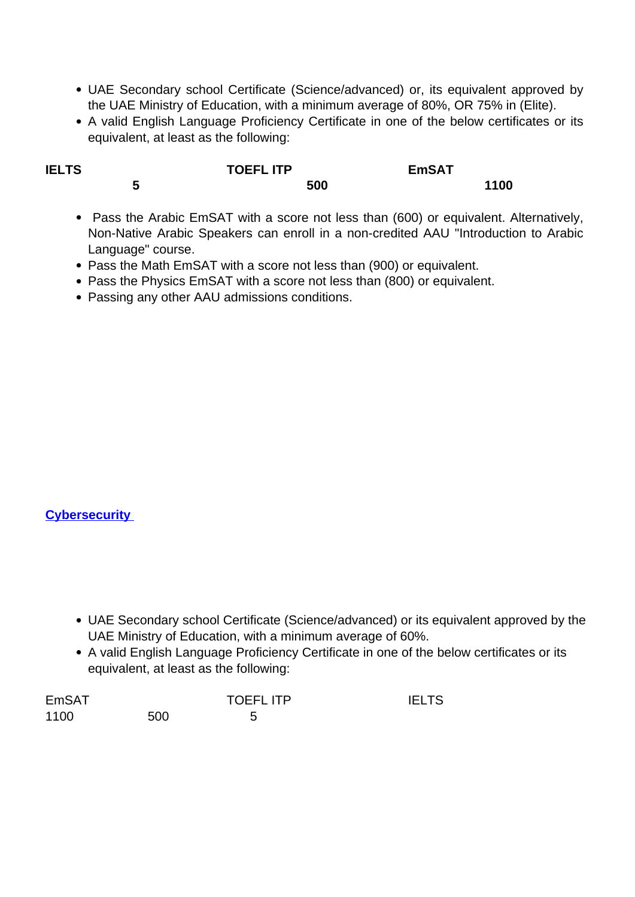- UAE Secondary school Certificate (Science/advanced) or, its equivalent approved by the UAE Ministry of Education, with a minimum average of 80%, OR 75% in (Elite).
- A valid English Language Proficiency Certificate in one of the below certificates or its equivalent, at least as the following:

| <b>IELTS</b> |   | <b>TOEFL ITP</b> | <b>EmSAT</b> |      |
|--------------|---|------------------|--------------|------|
|              | w | 500              |              | 1100 |

- Pass the Arabic EmSAT with a score not less than (600) or equivalent. Alternatively, Non-Native Arabic Speakers can enroll in a non-credited AAU "Introduction to Arabic Language" course.
- Pass the Math EmSAT with a score not less than (900) or equivalent.
- Pass the Physics EmSAT with a score not less than (800) or equivalent.
- Passing any other AAU admissions conditions.

### **Cybersecurity**

- UAE Secondary school Certificate (Science/advanced) or its equivalent approved by the UAE Ministry of Education, with a minimum average of 60%.
- A valid English Language Proficiency Certificate in one of the below certificates or its equivalent, at least as the following:

| <b>EmSAT</b> |     | <b>TOEFLITP</b> | <b>IELTS</b> |
|--------------|-----|-----------------|--------------|
| 1100         | 500 |                 |              |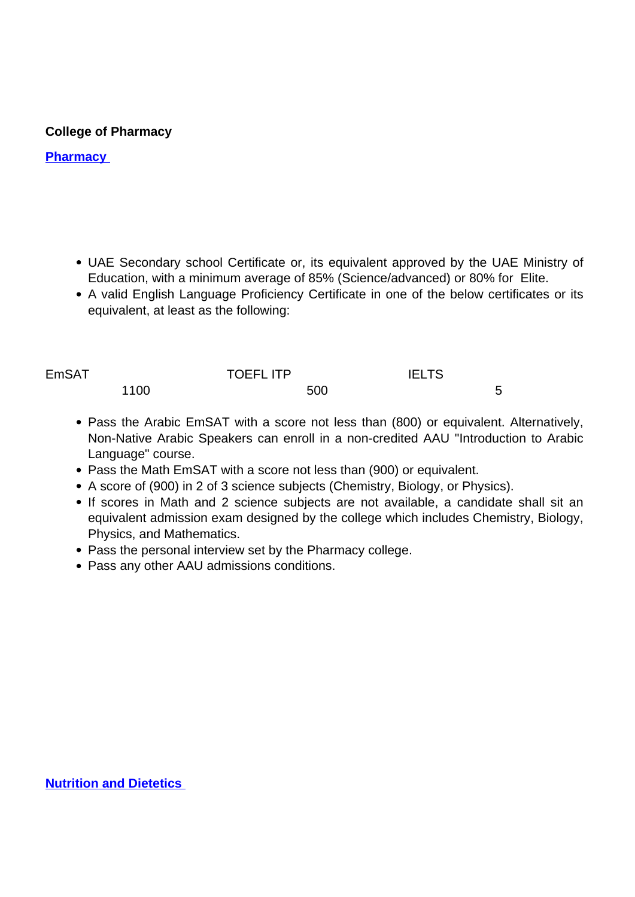## **College of Pharmacy**

## **Pharmacy**

- UAE Secondary school Certificate or, its equivalent approved by the UAE Ministry of Education, with a minimum average of 85% (Science/advanced) or 80% for Elite.
- A valid English Language Proficiency Certificate in one of the below certificates or its equivalent, at least as the following:

| <b>EmSAT</b> |      | <b>TOEFLITP</b> | <b>IELTS</b> |   |
|--------------|------|-----------------|--------------|---|
|              | 1100 | 500             |              | - |

- Pass the Arabic EmSAT with a score not less than (800) or equivalent. Alternatively, Non-Native Arabic Speakers can enroll in a non-credited AAU "Introduction to Arabic Language" course.
- Pass the Math EmSAT with a score not less than (900) or equivalent.
- A score of (900) in 2 of 3 science subjects (Chemistry, Biology, or Physics).
- If scores in Math and 2 science subjects are not available, a candidate shall sit an equivalent admission exam designed by the college which includes Chemistry, Biology, Physics, and Mathematics.
- Pass the personal interview set by the Pharmacy college.
- Pass any other AAU admissions conditions.

**Nutrition and Dietetics**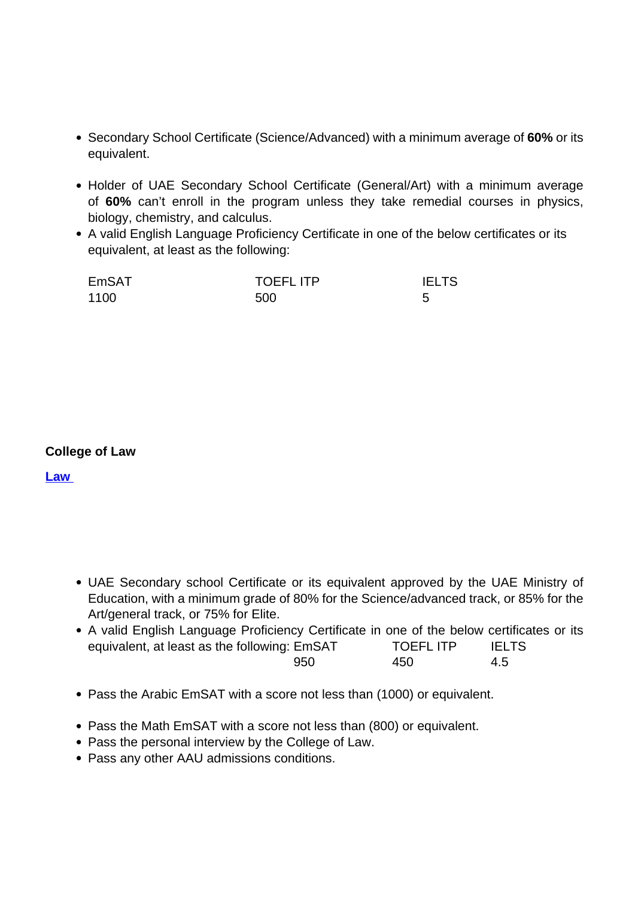- Secondary School Certificate (Science/Advanced) with a minimum average of **60%** or its equivalent.
- Holder of UAE Secondary School Certificate (General/Art) with a minimum average of **60%** can't enroll in the program unless they take remedial courses in physics, biology, chemistry, and calculus.
- A valid English Language Proficiency Certificate in one of the below certificates or its equivalent, at least as the following:

| EmSAT | <b>TOEFLITP</b> | <b>IELTS</b> |
|-------|-----------------|--------------|
| 1100  | 500             |              |

### **College of Law**

**Law** 

- UAE Secondary school Certificate or its equivalent approved by the UAE Ministry of Education, with a minimum grade of 80% for the Science/advanced track, or 85% for the Art/general track, or 75% for Elite.
- A valid English Language Proficiency Certificate in one of the below certificates or its equivalent, at least as the following: EmSAT TOEFL ITP IELTS 950 450 4.5
- Pass the Arabic EmSAT with a score not less than (1000) or equivalent.
- Pass the Math EmSAT with a score not less than (800) or equivalent.
- Pass the personal interview by the College of Law.
- Pass any other AAU admissions conditions.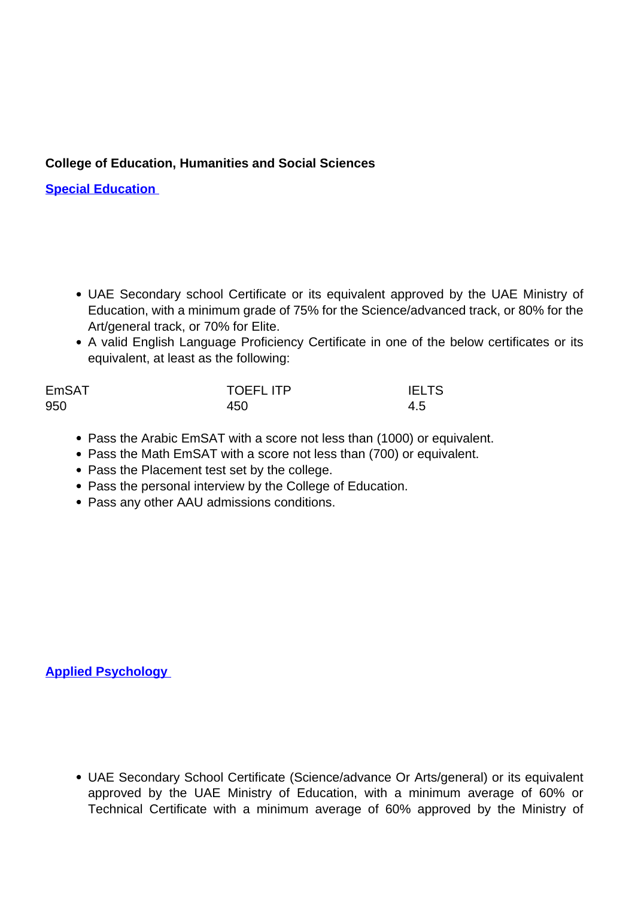# **College of Education, Humanities and Social Sciences**

**Special Education** 

- UAE Secondary school Certificate or its equivalent approved by the UAE Ministry of Education, with a minimum grade of 75% for the Science/advanced track, or 80% for the Art/general track, or 70% for Elite.
- A valid English Language Proficiency Certificate in one of the below certificates or its equivalent, at least as the following:

| <b>EmSAT</b> | <b>TOEFLITP</b> | <b>IELTS</b> |
|--------------|-----------------|--------------|
| 950          | 450             | 4.5          |

- Pass the Arabic EmSAT with a score not less than (1000) or equivalent.
- Pass the Math EmSAT with a score not less than (700) or equivalent.
- Pass the Placement test set by the college.
- Pass the personal interview by the College of Education.
- Pass any other AAU admissions conditions.

**Applied Psychology** 

UAE Secondary School Certificate (Science/advance Or Arts/general) or its equivalent approved by the UAE Ministry of Education, with a minimum average of 60% or Technical Certificate with a minimum average of 60% approved by the Ministry of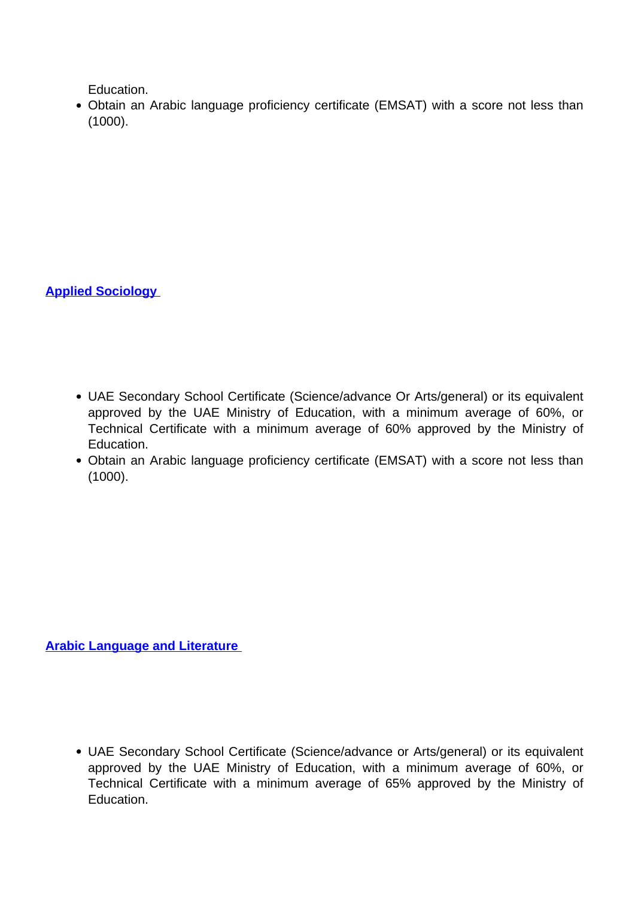Education.

Obtain an Arabic language proficiency certificate (EMSAT) with a score not less than (1000).

**Applied Sociology** 

- UAE Secondary School Certificate (Science/advance Or Arts/general) or its equivalent approved by the UAE Ministry of Education, with a minimum average of 60%, or Technical Certificate with a minimum average of 60% approved by the Ministry of Education.
- Obtain an Arabic language proficiency certificate (EMSAT) with a score not less than (1000).

**Arabic Language and Literature** 

UAE Secondary School Certificate (Science/advance or Arts/general) or its equivalent approved by the UAE Ministry of Education, with a minimum average of 60%, or Technical Certificate with a minimum average of 65% approved by the Ministry of Education.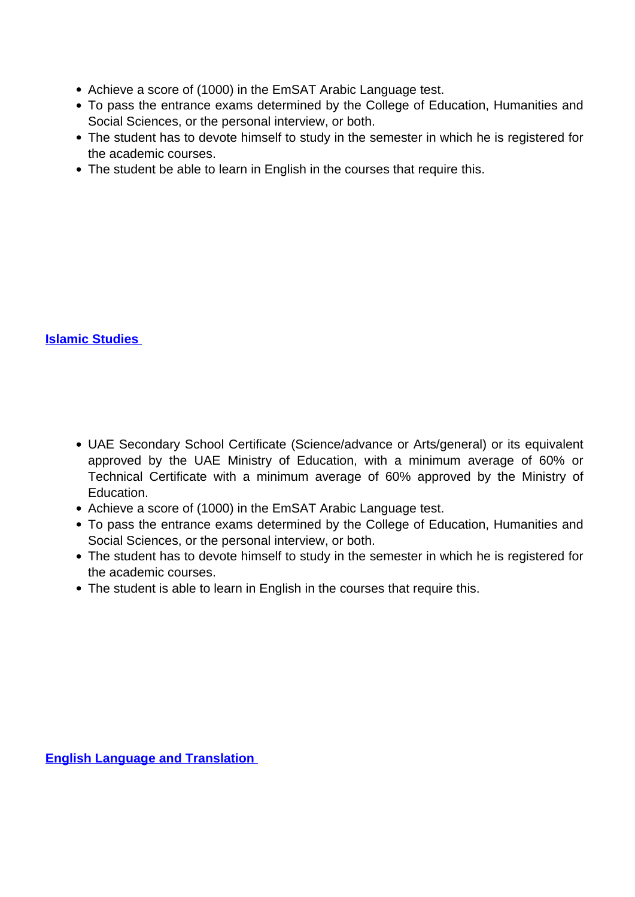- Achieve a score of (1000) in the EmSAT Arabic Language test.
- To pass the entrance exams determined by the College of Education, Humanities and Social Sciences, or the personal interview, or both.
- The student has to devote himself to study in the semester in which he is registered for the academic courses.
- The student be able to learn in English in the courses that require this.

# **Islamic Studies**

- UAE Secondary School Certificate (Science/advance or Arts/general) or its equivalent approved by the UAE Ministry of Education, with a minimum average of 60% or Technical Certificate with a minimum average of 60% approved by the Ministry of Education.
- Achieve a score of (1000) in the EmSAT Arabic Language test.
- To pass the entrance exams determined by the College of Education, Humanities and Social Sciences, or the personal interview, or both.
- The student has to devote himself to study in the semester in which he is registered for the academic courses.
- The student is able to learn in English in the courses that require this.

**English Language and Translation**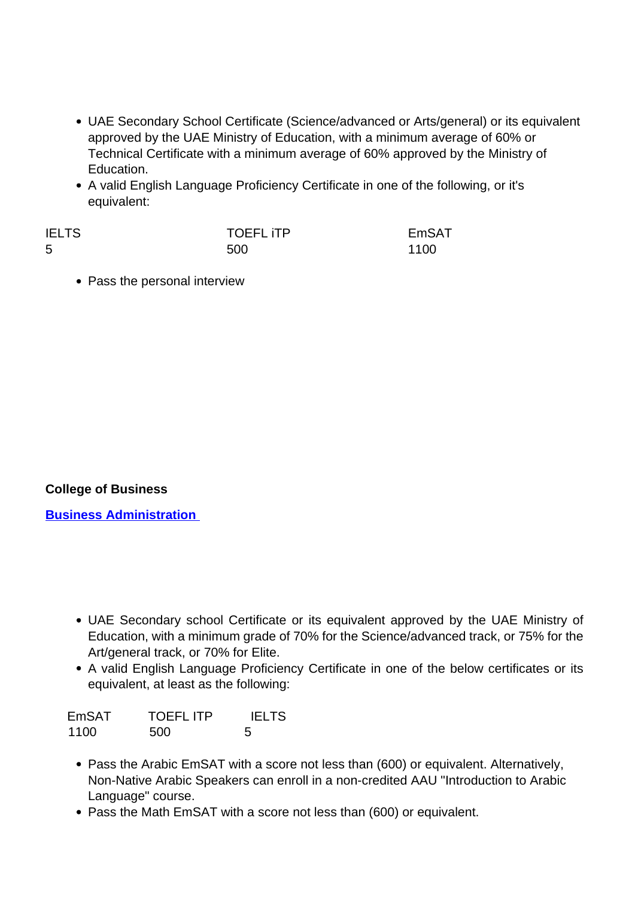- UAE Secondary School Certificate (Science/advanced or Arts/general) or its equivalent approved by the UAE Ministry of Education, with a minimum average of 60% or Technical Certificate with a minimum average of 60% approved by the Ministry of Education.
- A valid English Language Proficiency Certificate in one of the following, or it's equivalent:

| <b>IELTS</b> | <b>TOEFL ITP</b> | EmSAT |
|--------------|------------------|-------|
| 5            | 500              | 1100  |

• Pass the personal interview

# **College of Business**

**Business Administration** 

- UAE Secondary school Certificate or its equivalent approved by the UAE Ministry of Education, with a minimum grade of 70% for the Science/advanced track, or 75% for the Art/general track, or 70% for Elite.
- A valid English Language Proficiency Certificate in one of the below certificates or its equivalent, at least as the following:

| EmSAT | <b>TOEFLITP</b> | <b>IELTS</b> |
|-------|-----------------|--------------|
| 1100  | 500             | .5           |

- Pass the Arabic EmSAT with a score not less than (600) or equivalent. Alternatively, Non-Native Arabic Speakers can enroll in a non-credited AAU "Introduction to Arabic Language" course.
- Pass the Math EmSAT with a score not less than (600) or equivalent.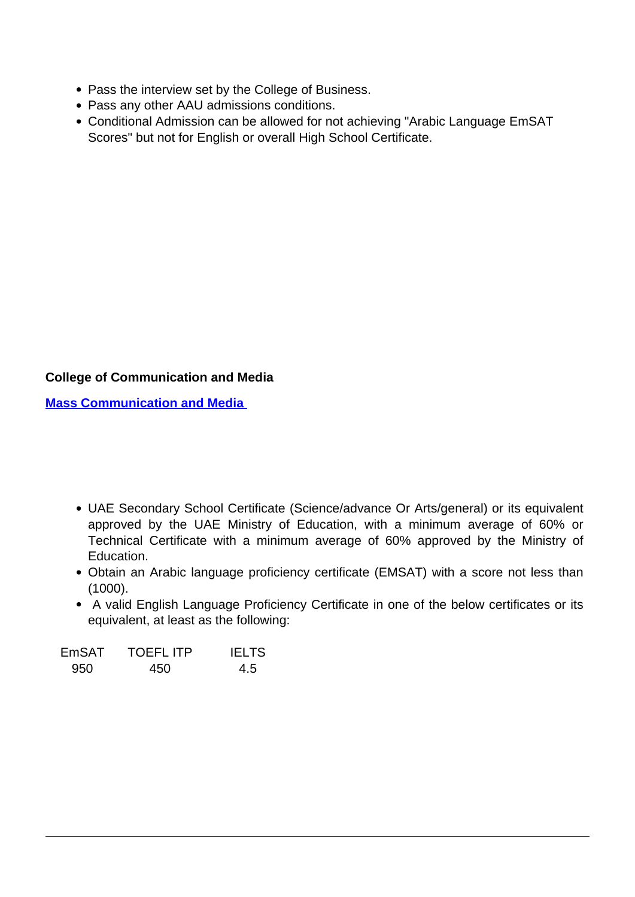- Pass the interview set by the College of Business.
- Pass any other AAU admissions conditions.
- Conditional Admission can be allowed for not achieving "Arabic Language EmSAT Scores" but not for English or overall High School Certificate.

# **College of Communication and Media**

**Mass Communication and Media** 

- UAE Secondary School Certificate (Science/advance Or Arts/general) or its equivalent approved by the UAE Ministry of Education, with a minimum average of 60% or Technical Certificate with a minimum average of 60% approved by the Ministry of Education.
- Obtain an Arabic language proficiency certificate (EMSAT) with a score not less than (1000).
- A valid English Language Proficiency Certificate in one of the below certificates or its equivalent, at least as the following:

| EmSAT | <b>TOEFLITP</b> | <b>IELTS</b> |
|-------|-----------------|--------------|
| 950   | 450             | 4.5          |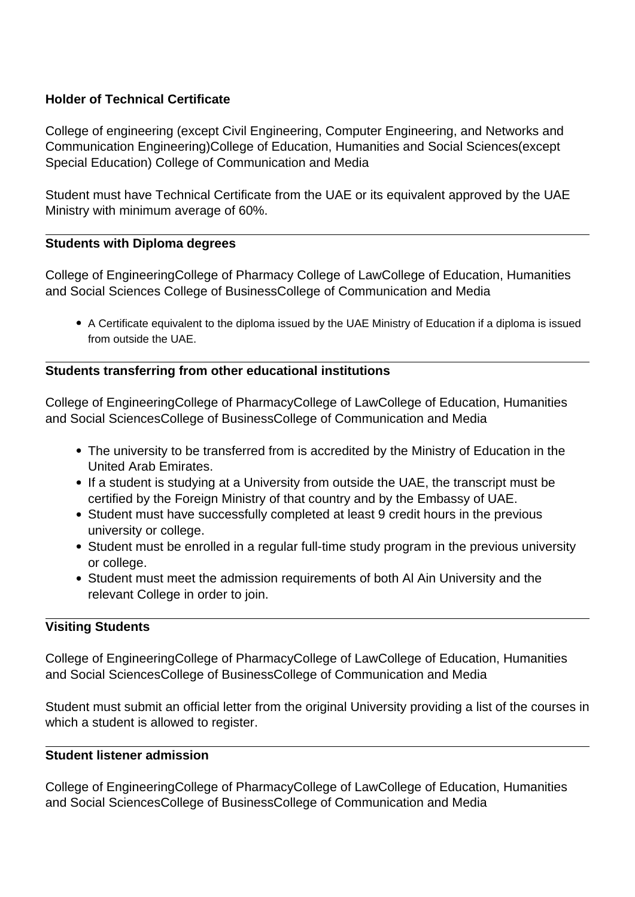# **Holder of Technical Certificate**

College of engineering (except Civil Engineering, Computer Engineering, and Networks and Communication Engineering)College of Education, Humanities and Social Sciences(except Special Education) College of Communication and Media

Student must have Technical Certificate from the UAE or its equivalent approved by the UAE Ministry with minimum average of 60%.

## **Students with Diploma degrees**

College of EngineeringCollege of Pharmacy College of LawCollege of Education, Humanities and Social Sciences College of BusinessCollege of Communication and Media

A Certificate equivalent to the diploma issued by the UAE Ministry of Education if a diploma is issued from outside the UAE.

## **Students transferring from other educational institutions**

College of EngineeringCollege of PharmacyCollege of LawCollege of Education, Humanities and Social SciencesCollege of BusinessCollege of Communication and Media

- The university to be transferred from is accredited by the Ministry of Education in the United Arab Emirates.
- If a student is studying at a University from outside the UAE, the transcript must be certified by the Foreign Ministry of that country and by the Embassy of UAE.
- Student must have successfully completed at least 9 credit hours in the previous university or college.
- Student must be enrolled in a regular full-time study program in the previous university or college.
- Student must meet the admission requirements of both Al Ain University and the relevant College in order to join.

# **Visiting Students**

College of EngineeringCollege of PharmacyCollege of LawCollege of Education, Humanities and Social SciencesCollege of BusinessCollege of Communication and Media

Student must submit an official letter from the original University providing a list of the courses in which a student is allowed to register.

## **Student listener admission**

College of EngineeringCollege of PharmacyCollege of LawCollege of Education, Humanities and Social SciencesCollege of BusinessCollege of Communication and Media